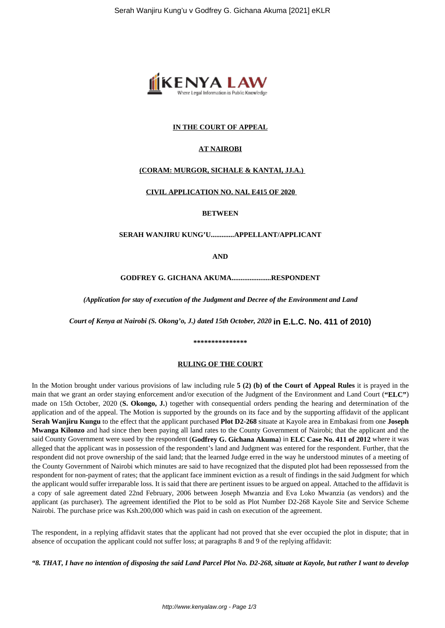

## **IN THE COURT OF APPEAL**

# **AT NAIROBI**

# **(CORAM: MURGOR, SICHALE & KANTAI, JJ.A.)**

### **CIVIL APPLICATION NO. NAI. E415 OF 2020**

**BETWEEN**

**SERAH WANJIRU KUNG'U.............APPELLANT/APPLICANT**

**AND**

**GODFREY G. GICHANA AKUMA......................RESPONDENT**

*(Application for stay of execution of the Judgment and Decree of the Environment and Land*

*Court of Kenya at Nairobi (S. Okong'o, J.) dated 15th October, 2020* **in E.L.C. No. 411 of 2010)**

#### **\*\*\*\*\*\*\*\*\*\*\*\*\*\*\***

### **RULING OF THE COURT**

In the Motion brought under various provisions of law including rule **5 (2) (b) of the Court of Appeal Rules** it is prayed in the main that we grant an order staying enforcement and/or execution of the Judgment of the Environment and Land Court (**"ELC"**) made on 15th October, 2020 (**S. Okongo, J.**) together with consequential orders pending the hearing and determination of the application and of the appeal. The Motion is supported by the grounds on its face and by the supporting affidavit of the applicant **Serah Wanjiru Kungu** to the effect that the applicant purchased **Plot D2-268** situate at Kayole area in Embakasi from one **Joseph Mwanga Kilonzo** and had since then been paying all land rates to the County Government of Nairobi; that the applicant and the said County Government were sued by the respondent (**Godfrey G. Gichana Akuma**) in **ELC Case No. 411 of 2012** where it was alleged that the applicant was in possession of the respondent's land and Judgment was entered for the respondent. Further, that the respondent did not prove ownership of the said land; that the learned Judge erred in the way he understood minutes of a meeting of the County Government of Nairobi which minutes are said to have recognized that the disputed plot had been repossessed from the respondent for non-payment of rates; that the applicant face imminent eviction as a result of findings in the said Judgment for which the applicant would suffer irreparable loss. It is said that there are pertinent issues to be argued on appeal. Attached to the affidavit is a copy of sale agreement dated 22nd February, 2006 between Joseph Mwanzia and Eva Loko Mwanzia (as vendors) and the applicant (as purchaser). The agreement identified the Plot to be sold as Plot Number D2-268 Kayole Site and Service Scheme Nairobi. The purchase price was Ksh.200,000 which was paid in cash on execution of the agreement.

The respondent, in a replying affidavit states that the applicant had not proved that she ever occupied the plot in dispute; that in absence of occupation the applicant could not suffer loss; at paragraphs 8 and 9 of the replying affidavit:

*"8. THAT, I have no intention of disposing the said Land Parcel Plot No. D2-268, situate at Kayole, but rather I want to develop*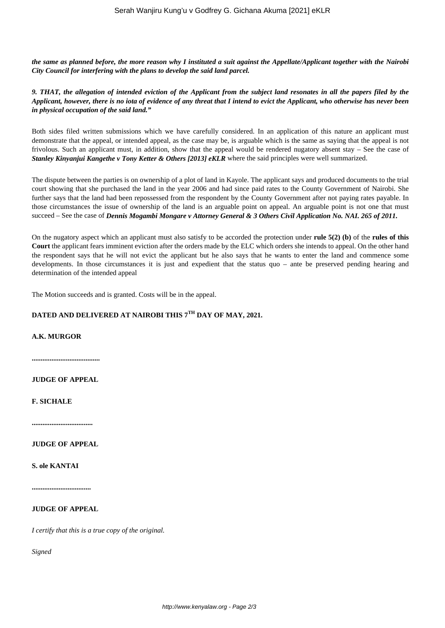*the same as planned before, the more reason why I instituted a suit against the Appellate/Applicant together with the Nairobi City Council for interfering with the plans to develop the said land parcel.*

*9. THAT, the allegation of intended eviction of the Applicant from the subject land resonates in all the papers filed by the Applicant, however, there is no iota of evidence of any threat that I intend to evict the Applicant, who otherwise has never been in physical occupation of the said land."*

Both sides filed written submissions which we have carefully considered. In an application of this nature an applicant must demonstrate that the appeal, or intended appeal, as the case may be, is arguable which is the same as saying that the appeal is not frivolous. Such an applicant must, in addition, show that the appeal would be rendered nugatory absent stay – See the case of *Stanley Kinyanjui Kangethe v Tony Ketter & Others [2013] eKLR* where the said principles were well summarized.

The dispute between the parties is on ownership of a plot of land in Kayole. The applicant says and produced documents to the trial court showing that she purchased the land in the year 2006 and had since paid rates to the County Government of Nairobi. She further says that the land had been repossessed from the respondent by the County Government after not paying rates payable. In those circumstances the issue of ownership of the land is an arguable point on appeal. An arguable point is not one that must succeed – See the case of *Dennis Mogambi Mongare v Attorney General & 3 Others Civil Application No. NAI. 265 of 2011.*

On the nugatory aspect which an applicant must also satisfy to be accorded the protection under **rule 5(2) (b)** of the **rules of this Court** the applicant fears imminent eviction after the orders made by the ELC which orders she intends to appeal. On the other hand the respondent says that he will not evict the applicant but he also says that he wants to enter the land and commence some developments. In those circumstances it is just and expedient that the status quo – ante be preserved pending hearing and determination of the intended appeal

The Motion succeeds and is granted. Costs will be in the appeal.

# **DATED AND DELIVERED AT NAIROBI THIS 7TH DAY OF MAY, 2021.**

## **A.K. MURGOR**

**......................................**

### **JUDGE OF APPEAL**

**F. SICHALE**

**..................................**

## **JUDGE OF APPEAL**

**S. ole KANTAI**

**.................................**

### **JUDGE OF APPEAL**

*I certify that this is a true copy of the original.*

*Signed*